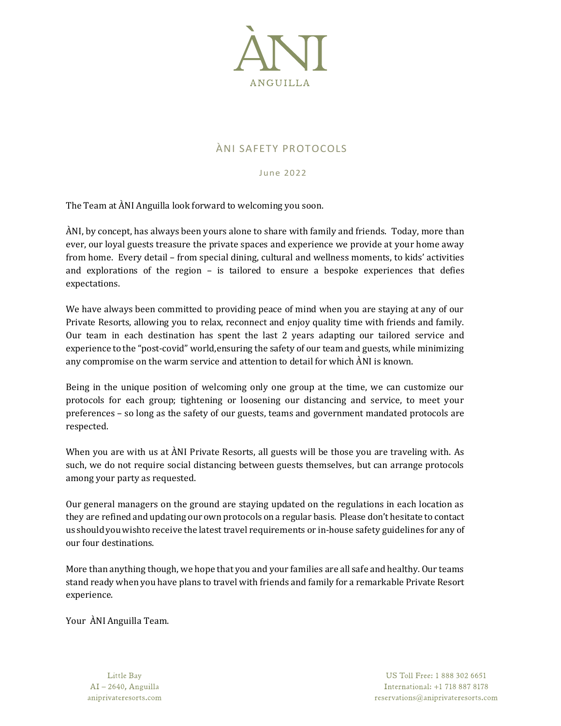

# ÀNI SAFETY PROTOCOLS

June 2022

The Team at ÀNI Anguilla look forward to welcoming you soon.

ÀNI, by concept, has always been yours alone to share with family and friends. Today, more than ever, our loyal guests treasure the private spaces and experience we provide at your home away from home. Every detail – from special dining, cultural and wellness moments, to kids' activities and explorations of the region – is tailored to ensure a bespoke experiences that defies expectations.

We have always been committed to providing peace of mind when you are staying at any of our Private Resorts, allowing you to relax, reconnect and enjoy quality time with friends and family. Our team in each destination has spent the last 2 years adapting our tailored service and experience to the "post-covid" world,ensuring the safety of our team and guests, while minimizing any compromise on the warm service and attention to detail for which ÀNI is known.

Being in the unique position of welcoming only one group at the time, we can customize our protocols for each group; tightening or loosening our distancing and service, to meet your preferences – so long as the safety of our guests, teams and government mandated protocols are respected.

When you are with us at ÀNI Private Resorts, all guests will be those you are traveling with. As such, we do not require social distancing between guests themselves, but can arrange protocols among your party as requested.

Our general managers on the ground are staying updated on the regulations in each location as they are refinedand updating our own protocols on a regular basis. Please don't hesitate to contact us shouldyouwishto receive the latest travel requirements or in-house safety guidelines for any of our four destinations.

More than anything though, we hope that you and your families are all safe and healthy. Our teams stand ready when you have plans to travel with friends and family for a remarkable Private Resort experience.

Your ÀNI Anguilla Team.

Little Bay AI-2640, Anguilla aniprivateresorts.com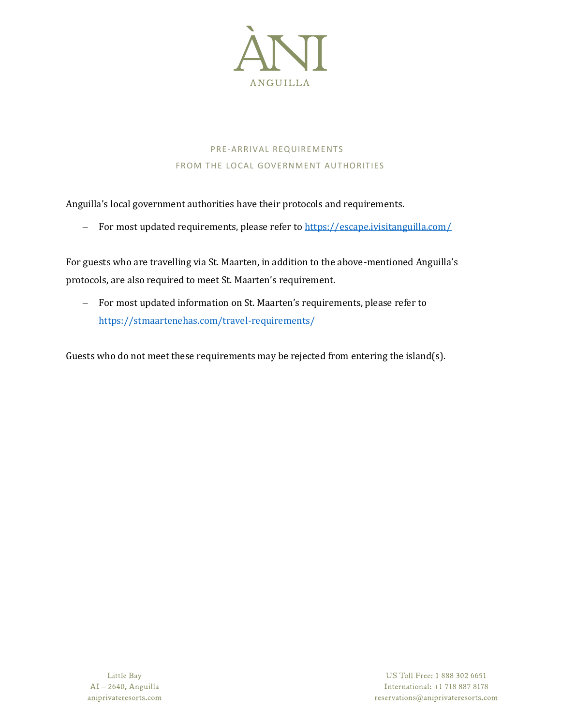

# PRE-ARRIVAL REQUIREMENTS FROM THE LOCAL GOVERNMENT AUTHORITIES

Anguilla's local government authorities have their protocols and requirements.

− For most updated requirements, please refer t[o https://escape.ivisitanguilla.com/](https://escape.ivisitanguilla.com/)

For guests who are travelling via St. Maarten, in addition to the above-mentioned Anguilla's protocols, are also required to meet St. Maarten's requirement.

− For most updated information on St. Maarten's requirements, please refer to <https://stmaartenehas.com/travel-requirements/>

Guests who do not meet these requirements may be rejected from entering the island(s).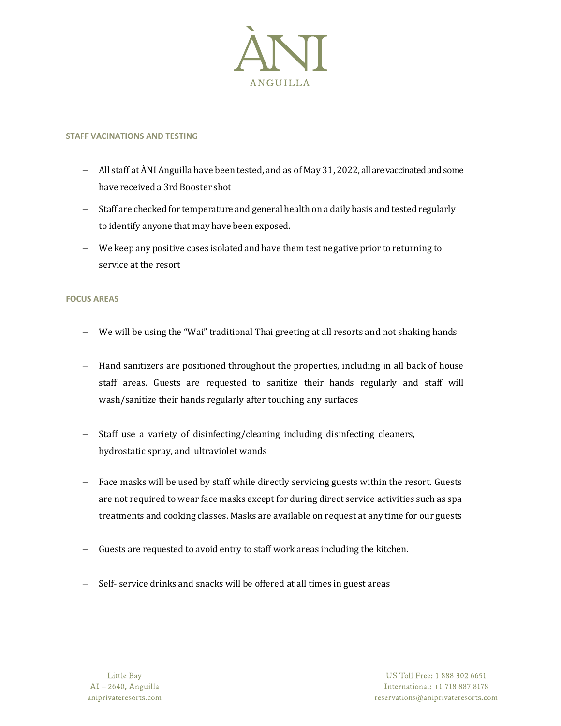

# **STAFF VACINATIONS AND TESTING**

- − All staff at ÀNI Anguilla have been tested, and as of May 31, 2022, all are vaccinated and some have received a 3rd Booster shot
- − Staff are checked for temperature and general health on a daily basis and tested regularly to identify anyone that may have been exposed.
- − We keep any positive cases isolated and have them test negative prior to returning to service at the resort

# **FOCUS AREAS**

- We will be using the "Wai" traditional Thai greeting at all resorts and not shaking hands
- − Hand sanitizers are positioned throughout the properties, including in all back of house staff areas. Guests are requested to sanitize their hands regularly and staff will wash/sanitize their hands regularly after touching any surfaces
- Staff use a variety of disinfecting/cleaning including disinfecting cleaners, hydrostatic spray, and ultraviolet wands
- − Face masks will be used by staff while directly servicing guests within the resort. Guests are not required to wear face masks except for during direct service activities such as spa treatments and cooking classes. Masks are available on request at any time for our guests
- − Guests are requested to avoid entry to staff work areas including the kitchen.
- − Self- service drinks and snacks will be offered at all times in guest areas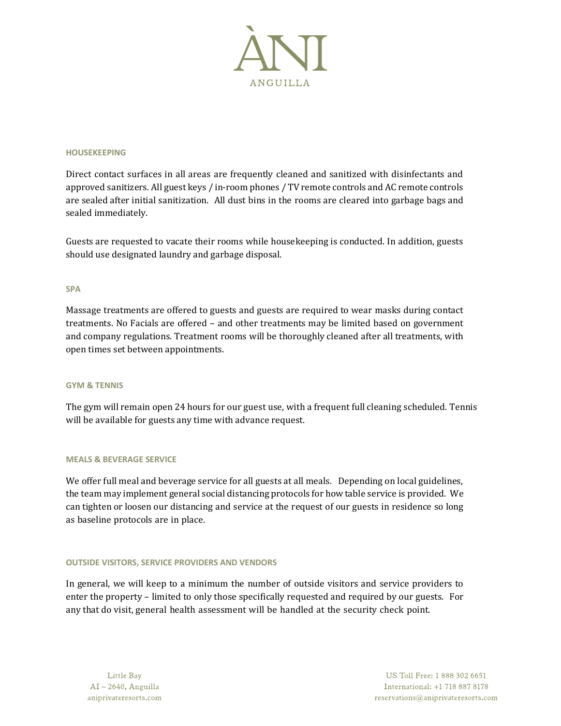

#### **HOUSEKEEPING**

Direct contact surfaces in all areas are frequently cleaned and sanitized with disinfectants and approved sanitizers. All guest keys / in-room phones / TV remote controls and AC remote controls are sealed after initial sanitization. All dust bins in the rooms are cleared into garbage bags and sealed immediately.

Guests are requested to vacate their rooms while housekeeping is conducted. In addition, guests should use designated laundry and garbage disposal.

#### **SPA**

Massage treatments are offered to guests and guests are required to wear masks during contact treatments. No Facials are offered – and other treatments may be limited based on government and company regulations. Treatment rooms will be thoroughly cleaned after all treatments, with open times set between appointments.

#### **GYM & TENNIS**

The gym will remain open 24 hours for our guest use, with a frequent full cleaning scheduled. Tennis will be available for guests any time with advance request.

#### **MEALS & BEVERAGE SERVICE**

We offer full meal and beverage service for all guests at all meals. Depending on local guidelines, the team may implement general social distancing protocols for how table service is provided. We can tighten or loosen our distancing and service at the request of our guests in residence so long as baseline protocols are in place.

#### **OUTSIDE VISITORS, SERVICE PROVIDERS AND VENDORS**

In general, we will keep to a minimum the number of outside visitors and service providers to enter the property – limited to only those specifically requested and required by our guests. For any that do visit, general health assessment will be handled at the security check point.